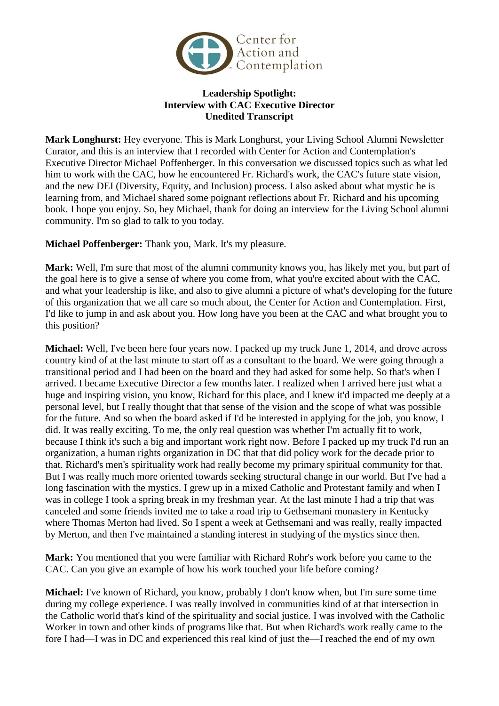

## **Leadership Spotlight: Interview with CAC Executive Director Unedited Transcript**

**Mark Longhurst:** Hey everyone. This is Mark Longhurst, your Living School Alumni Newsletter Curator, and this is an interview that I recorded with Center for Action and Contemplation's Executive Director Michael Poffenberger. In this conversation we discussed topics such as what led him to work with the CAC, how he encountered Fr. Richard's work, the CAC's future state vision, and the new DEI (Diversity, Equity, and Inclusion) process. I also asked about what mystic he is learning from, and Michael shared some poignant reflections about Fr. Richard and his upcoming book. I hope you enjoy. So, hey Michael, thank for doing an interview for the Living School alumni community. I'm so glad to talk to you today.

**Michael Poffenberger:** Thank you, Mark. It's my pleasure.

**Mark:** Well, I'm sure that most of the alumni community knows you, has likely met you, but part of the goal here is to give a sense of where you come from, what you're excited about with the CAC, and what your leadership is like, and also to give alumni a picture of what's developing for the future of this organization that we all care so much about, the Center for Action and Contemplation. First, I'd like to jump in and ask about you. How long have you been at the CAC and what brought you to this position?

**Michael:** Well, I've been here four years now. I packed up my truck June 1, 2014, and drove across country kind of at the last minute to start off as a consultant to the board. We were going through a transitional period and I had been on the board and they had asked for some help. So that's when I arrived. I became Executive Director a few months later. I realized when I arrived here just what a huge and inspiring vision, you know, Richard for this place, and I knew it'd impacted me deeply at a personal level, but I really thought that that sense of the vision and the scope of what was possible for the future. And so when the board asked if I'd be interested in applying for the job, you know, I did. It was really exciting. To me, the only real question was whether I'm actually fit to work, because I think it's such a big and important work right now. Before I packed up my truck I'd run an organization, a human rights organization in DC that that did policy work for the decade prior to that. Richard's men's spirituality work had really become my primary spiritual community for that. But I was really much more oriented towards seeking structural change in our world. But I've had a long fascination with the mystics. I grew up in a mixed Catholic and Protestant family and when I was in college I took a spring break in my freshman year. At the last minute I had a trip that was canceled and some friends invited me to take a road trip to Gethsemani monastery in Kentucky where Thomas Merton had lived. So I spent a week at Gethsemani and was really, really impacted by Merton, and then I've maintained a standing interest in studying of the mystics since then.

**Mark:** You mentioned that you were familiar with Richard Rohr's work before you came to the CAC. Can you give an example of how his work touched your life before coming?

**Michael:** I've known of Richard, you know, probably I don't know when, but I'm sure some time during my college experience. I was really involved in communities kind of at that intersection in the Catholic world that's kind of the spirituality and social justice. I was involved with the Catholic Worker in town and other kinds of programs like that. But when Richard's work really came to the fore I had—I was in DC and experienced this real kind of just the—I reached the end of my own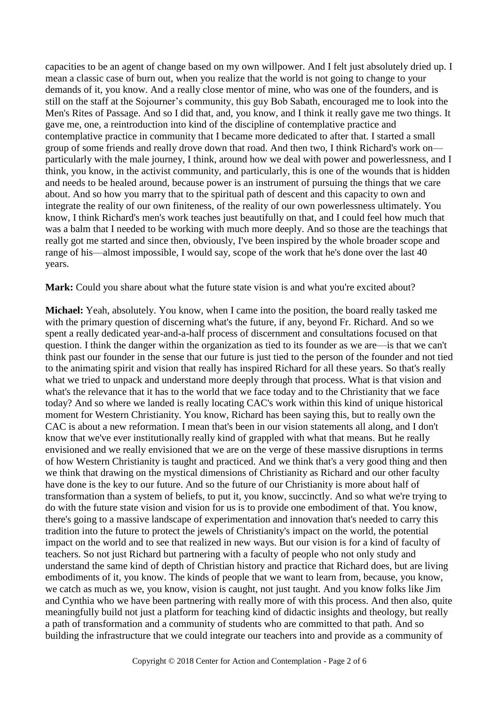capacities to be an agent of change based on my own willpower. And I felt just absolutely dried up. I mean a classic case of burn out, when you realize that the world is not going to change to your demands of it, you know. And a really close mentor of mine, who was one of the founders, and is still on the staff at the Sojourner's community, this guy Bob Sabath, encouraged me to look into the Men's Rites of Passage. And so I did that, and, you know, and I think it really gave me two things. It gave me, one, a reintroduction into kind of the discipline of contemplative practice and contemplative practice in community that I became more dedicated to after that. I started a small group of some friends and really drove down that road. And then two, I think Richard's work on particularly with the male journey, I think, around how we deal with power and powerlessness, and I think, you know, in the activist community, and particularly, this is one of the wounds that is hidden and needs to be healed around, because power is an instrument of pursuing the things that we care about. And so how you marry that to the spiritual path of descent and this capacity to own and integrate the reality of our own finiteness, of the reality of our own powerlessness ultimately. You know, I think Richard's men's work teaches just beautifully on that, and I could feel how much that was a balm that I needed to be working with much more deeply. And so those are the teachings that really got me started and since then, obviously, I've been inspired by the whole broader scope and range of his—almost impossible, I would say, scope of the work that he's done over the last 40 years.

Mark: Could you share about what the future state vision is and what you're excited about?

**Michael:** Yeah, absolutely. You know, when I came into the position, the board really tasked me with the primary question of discerning what's the future, if any, beyond Fr. Richard. And so we spent a really dedicated year-and-a-half process of discernment and consultations focused on that question. I think the danger within the organization as tied to its founder as we are—is that we can't think past our founder in the sense that our future is just tied to the person of the founder and not tied to the animating spirit and vision that really has inspired Richard for all these years. So that's really what we tried to unpack and understand more deeply through that process. What is that vision and what's the relevance that it has to the world that we face today and to the Christianity that we face today? And so where we landed is really locating CAC's work within this kind of unique historical moment for Western Christianity. You know, Richard has been saying this, but to really own the CAC is about a new reformation. I mean that's been in our vision statements all along, and I don't know that we've ever institutionally really kind of grappled with what that means. But he really envisioned and we really envisioned that we are on the verge of these massive disruptions in terms of how Western Christianity is taught and practiced. And we think that's a very good thing and then we think that drawing on the mystical dimensions of Christianity as Richard and our other faculty have done is the key to our future. And so the future of our Christianity is more about half of transformation than a system of beliefs, to put it, you know, succinctly. And so what we're trying to do with the future state vision and vision for us is to provide one embodiment of that. You know, there's going to a massive landscape of experimentation and innovation that's needed to carry this tradition into the future to protect the jewels of Christianity's impact on the world, the potential impact on the world and to see that realized in new ways. But our vision is for a kind of faculty of teachers. So not just Richard but partnering with a faculty of people who not only study and understand the same kind of depth of Christian history and practice that Richard does, but are living embodiments of it, you know. The kinds of people that we want to learn from, because, you know, we catch as much as we, you know, vision is caught, not just taught. And you know folks like Jim and Cynthia who we have been partnering with really more of with this process. And then also, quite meaningfully build not just a platform for teaching kind of didactic insights and theology, but really a path of transformation and a community of students who are committed to that path. And so building the infrastructure that we could integrate our teachers into and provide as a community of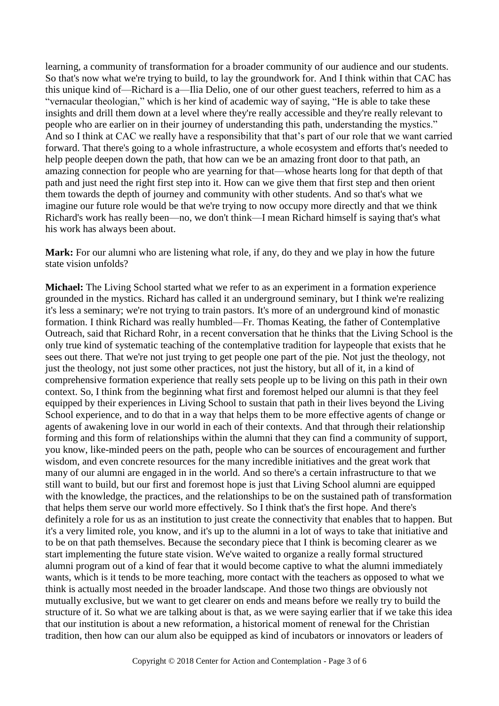learning, a community of transformation for a broader community of our audience and our students. So that's now what we're trying to build, to lay the groundwork for. And I think within that CAC has this unique kind of—Richard is a—Ilia Delio, one of our other guest teachers, referred to him as a "vernacular theologian," which is her kind of academic way of saying, "He is able to take these insights and drill them down at a level where they're really accessible and they're really relevant to people who are earlier on in their journey of understanding this path, understanding the mystics." And so I think at CAC we really have a responsibility that that's part of our role that we want carried forward. That there's going to a whole infrastructure, a whole ecosystem and efforts that's needed to help people deepen down the path, that how can we be an amazing front door to that path, an amazing connection for people who are yearning for that—whose hearts long for that depth of that path and just need the right first step into it. How can we give them that first step and then orient them towards the depth of journey and community with other students. And so that's what we imagine our future role would be that we're trying to now occupy more directly and that we think Richard's work has really been—no, we don't think—I mean Richard himself is saying that's what his work has always been about.

**Mark:** For our alumni who are listening what role, if any, do they and we play in how the future state vision unfolds?

**Michael:** The Living School started what we refer to as an experiment in a formation experience grounded in the mystics. Richard has called it an underground seminary, but I think we're realizing it's less a seminary; we're not trying to train pastors. It's more of an underground kind of monastic formation. I think Richard was really humbled—Fr. Thomas Keating, the father of Contemplative Outreach, said that Richard Rohr, in a recent conversation that he thinks that the Living School is the only true kind of systematic teaching of the contemplative tradition for laypeople that exists that he sees out there. That we're not just trying to get people one part of the pie. Not just the theology, not just the theology, not just some other practices, not just the history, but all of it, in a kind of comprehensive formation experience that really sets people up to be living on this path in their own context. So, I think from the beginning what first and foremost helped our alumni is that they feel equipped by their experiences in Living School to sustain that path in their lives beyond the Living School experience, and to do that in a way that helps them to be more effective agents of change or agents of awakening love in our world in each of their contexts. And that through their relationship forming and this form of relationships within the alumni that they can find a community of support, you know, like-minded peers on the path, people who can be sources of encouragement and further wisdom, and even concrete resources for the many incredible initiatives and the great work that many of our alumni are engaged in in the world. And so there's a certain infrastructure to that we still want to build, but our first and foremost hope is just that Living School alumni are equipped with the knowledge, the practices, and the relationships to be on the sustained path of transformation that helps them serve our world more effectively. So I think that's the first hope. And there's definitely a role for us as an institution to just create the connectivity that enables that to happen. But it's a very limited role, you know, and it's up to the alumni in a lot of ways to take that initiative and to be on that path themselves. Because the secondary piece that I think is becoming clearer as we start implementing the future state vision. We've waited to organize a really formal structured alumni program out of a kind of fear that it would become captive to what the alumni immediately wants, which is it tends to be more teaching, more contact with the teachers as opposed to what we think is actually most needed in the broader landscape. And those two things are obviously not mutually exclusive, but we want to get clearer on ends and means before we really try to build the structure of it. So what we are talking about is that, as we were saying earlier that if we take this idea that our institution is about a new reformation, a historical moment of renewal for the Christian tradition, then how can our alum also be equipped as kind of incubators or innovators or leaders of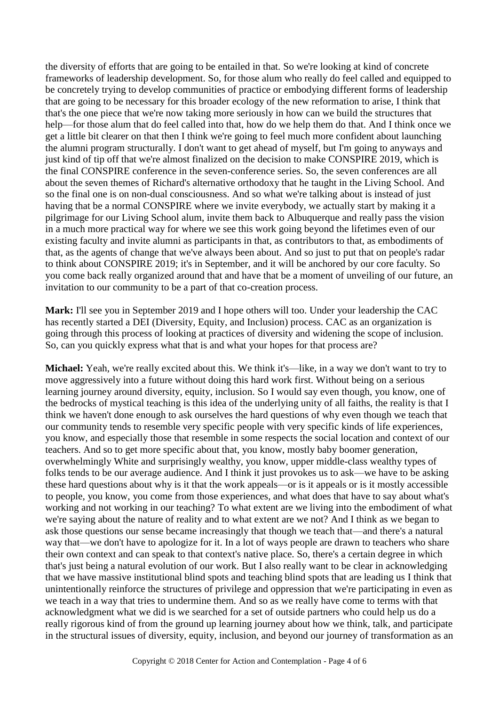the diversity of efforts that are going to be entailed in that. So we're looking at kind of concrete frameworks of leadership development. So, for those alum who really do feel called and equipped to be concretely trying to develop communities of practice or embodying different forms of leadership that are going to be necessary for this broader ecology of the new reformation to arise, I think that that's the one piece that we're now taking more seriously in how can we build the structures that help—for those alum that do feel called into that, how do we help them do that. And I think once we get a little bit clearer on that then I think we're going to feel much more confident about launching the alumni program structurally. I don't want to get ahead of myself, but I'm going to anyways and just kind of tip off that we're almost finalized on the decision to make CONSPIRE 2019, which is the final CONSPIRE conference in the seven-conference series. So, the seven conferences are all about the seven themes of Richard's alternative orthodoxy that he taught in the Living School. And so the final one is on non-dual consciousness. And so what we're talking about is instead of just having that be a normal CONSPIRE where we invite everybody, we actually start by making it a pilgrimage for our Living School alum, invite them back to Albuquerque and really pass the vision in a much more practical way for where we see this work going beyond the lifetimes even of our existing faculty and invite alumni as participants in that, as contributors to that, as embodiments of that, as the agents of change that we've always been about. And so just to put that on people's radar to think about CONSPIRE 2019; it's in September, and it will be anchored by our core faculty. So you come back really organized around that and have that be a moment of unveiling of our future, an invitation to our community to be a part of that co-creation process.

**Mark:** I'll see you in September 2019 and I hope others will too. Under your leadership the CAC has recently started a DEI (Diversity, Equity, and Inclusion) process. CAC as an organization is going through this process of looking at practices of diversity and widening the scope of inclusion. So, can you quickly express what that is and what your hopes for that process are?

**Michael:** Yeah, we're really excited about this. We think it's—like, in a way we don't want to try to move aggressively into a future without doing this hard work first. Without being on a serious learning journey around diversity, equity, inclusion. So I would say even though, you know, one of the bedrocks of mystical teaching is this idea of the underlying unity of all faiths, the reality is that I think we haven't done enough to ask ourselves the hard questions of why even though we teach that our community tends to resemble very specific people with very specific kinds of life experiences, you know, and especially those that resemble in some respects the social location and context of our teachers. And so to get more specific about that, you know, mostly baby boomer generation, overwhelmingly White and surprisingly wealthy, you know, upper middle-class wealthy types of folks tends to be our average audience. And I think it just provokes us to ask—we have to be asking these hard questions about why is it that the work appeals—or is it appeals or is it mostly accessible to people, you know, you come from those experiences, and what does that have to say about what's working and not working in our teaching? To what extent are we living into the embodiment of what we're saying about the nature of reality and to what extent are we not? And I think as we began to ask those questions our sense became increasingly that though we teach that—and there's a natural way that—we don't have to apologize for it. In a lot of ways people are drawn to teachers who share their own context and can speak to that context's native place. So, there's a certain degree in which that's just being a natural evolution of our work. But I also really want to be clear in acknowledging that we have massive institutional blind spots and teaching blind spots that are leading us I think that unintentionally reinforce the structures of privilege and oppression that we're participating in even as we teach in a way that tries to undermine them. And so as we really have come to terms with that acknowledgment what we did is we searched for a set of outside partners who could help us do a really rigorous kind of from the ground up learning journey about how we think, talk, and participate in the structural issues of diversity, equity, inclusion, and beyond our journey of transformation as an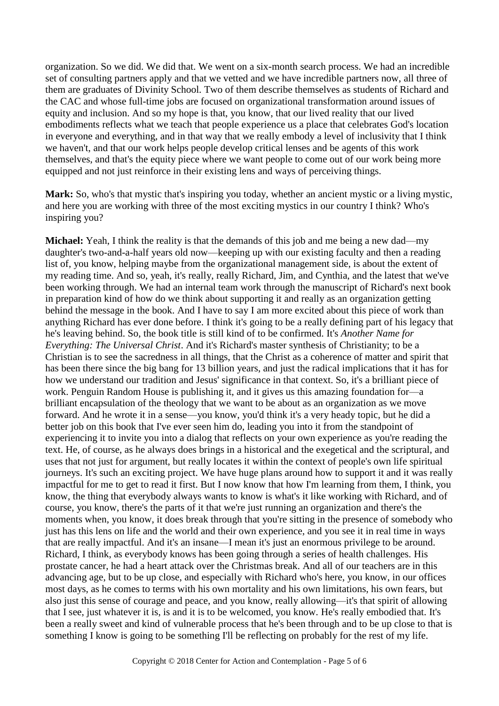organization. So we did. We did that. We went on a six-month search process. We had an incredible set of consulting partners apply and that we vetted and we have incredible partners now, all three of them are graduates of Divinity School. Two of them describe themselves as students of Richard and the CAC and whose full-time jobs are focused on organizational transformation around issues of equity and inclusion. And so my hope is that, you know, that our lived reality that our lived embodiments reflects what we teach that people experience us a place that celebrates God's location in everyone and everything, and in that way that we really embody a level of inclusivity that I think we haven't, and that our work helps people develop critical lenses and be agents of this work themselves, and that's the equity piece where we want people to come out of our work being more equipped and not just reinforce in their existing lens and ways of perceiving things.

**Mark:** So, who's that mystic that's inspiring you today, whether an ancient mystic or a living mystic, and here you are working with three of the most exciting mystics in our country I think? Who's inspiring you?

**Michael:** Yeah, I think the reality is that the demands of this job and me being a new dad—my daughter's two-and-a-half years old now—keeping up with our existing faculty and then a reading list of, you know, helping maybe from the organizational management side, is about the extent of my reading time. And so, yeah, it's really, really Richard, Jim, and Cynthia, and the latest that we've been working through. We had an internal team work through the manuscript of Richard's next book in preparation kind of how do we think about supporting it and really as an organization getting behind the message in the book. And I have to say I am more excited about this piece of work than anything Richard has ever done before. I think it's going to be a really defining part of his legacy that he's leaving behind. So, the book title is still kind of to be confirmed. It's *Another Name for Everything: The Universal Christ*. And it's Richard's master synthesis of Christianity; to be a Christian is to see the sacredness in all things, that the Christ as a coherence of matter and spirit that has been there since the big bang for 13 billion years, and just the radical implications that it has for how we understand our tradition and Jesus' significance in that context. So, it's a brilliant piece of work. Penguin Random House is publishing it, and it gives us this amazing foundation for—a brilliant encapsulation of the theology that we want to be about as an organization as we move forward. And he wrote it in a sense—you know, you'd think it's a very heady topic, but he did a better job on this book that I've ever seen him do, leading you into it from the standpoint of experiencing it to invite you into a dialog that reflects on your own experience as you're reading the text. He, of course, as he always does brings in a historical and the exegetical and the scriptural, and uses that not just for argument, but really locates it within the context of people's own life spiritual journeys. It's such an exciting project. We have huge plans around how to support it and it was really impactful for me to get to read it first. But I now know that how I'm learning from them, I think, you know, the thing that everybody always wants to know is what's it like working with Richard, and of course, you know, there's the parts of it that we're just running an organization and there's the moments when, you know, it does break through that you're sitting in the presence of somebody who just has this lens on life and the world and their own experience, and you see it in real time in ways that are really impactful. And it's an insane—I mean it's just an enormous privilege to be around. Richard, I think, as everybody knows has been going through a series of health challenges. His prostate cancer, he had a heart attack over the Christmas break. And all of our teachers are in this advancing age, but to be up close, and especially with Richard who's here, you know, in our offices most days, as he comes to terms with his own mortality and his own limitations, his own fears, but also just this sense of courage and peace, and you know, really allowing—it's that spirit of allowing that I see, just whatever it is, is and it is to be welcomed, you know. He's really embodied that. It's been a really sweet and kind of vulnerable process that he's been through and to be up close to that is something I know is going to be something I'll be reflecting on probably for the rest of my life.